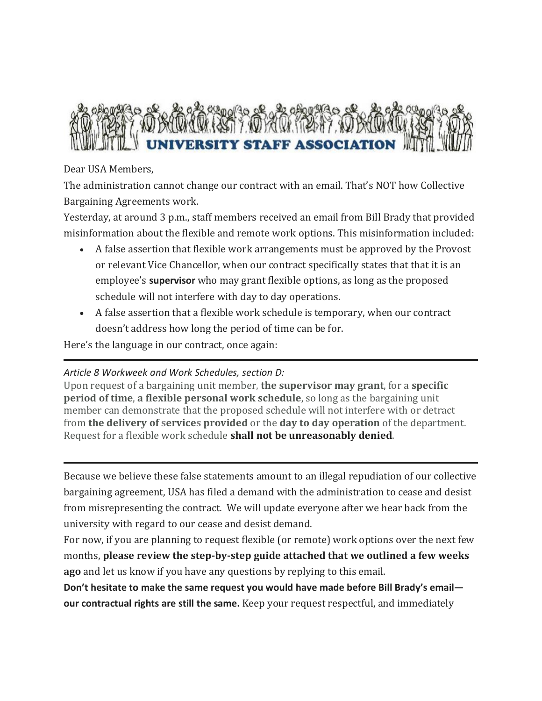

## Dear USA Members,

The administration cannot change our contract with an email. That's NOT how Collective Bargaining Agreements work.

Yesterday, at around 3 p.m., staff members received an email from Bill Brady that provided misinformation about the flexible and remote work options. This misinformation included:

- A false assertion that flexible work arrangements must be approved by the Provost or relevant Vice Chancellor, when our contract specifically states that that it is an employee's **supervisor** who may grant flexible options, as long as the proposed schedule will not interfere with day to day operations.
- A false assertion that a flexible work schedule is temporary, when our contract doesn't address how long the period of time can be for.

Here's the language in our contract, once again:

## *Article 8 Workweek and Work Schedules, section D:*

Upon request of a bargaining unit member, **the supervisor may grant**, for a **specific period of time**, **a flexible personal work schedule**, so long as the bargaining unit member can demonstrate that the proposed schedule will not interfere with or detract from **the delivery of services provided** or the **day to day operation** of the department. Request for a flexible work schedule **shall not be unreasonably denied**.

Because we believe these false statements amount to an illegal repudiation of our collective bargaining agreement, USA has filed a demand with the administration to cease and desist from misrepresenting the contract. We will update everyone after we hear back from the university with regard to our cease and desist demand.

For now, if you are planning to request flexible (or remote) work options over the next few months, **please review the step-by-step guide attached that we outlined a few weeks ago** and let us know if you have any questions by replying to this email.

**Don't hesitate to make the same request you would have made before Bill Brady's email our contractual rights are still the same.** Keep your request respectful, and immediately